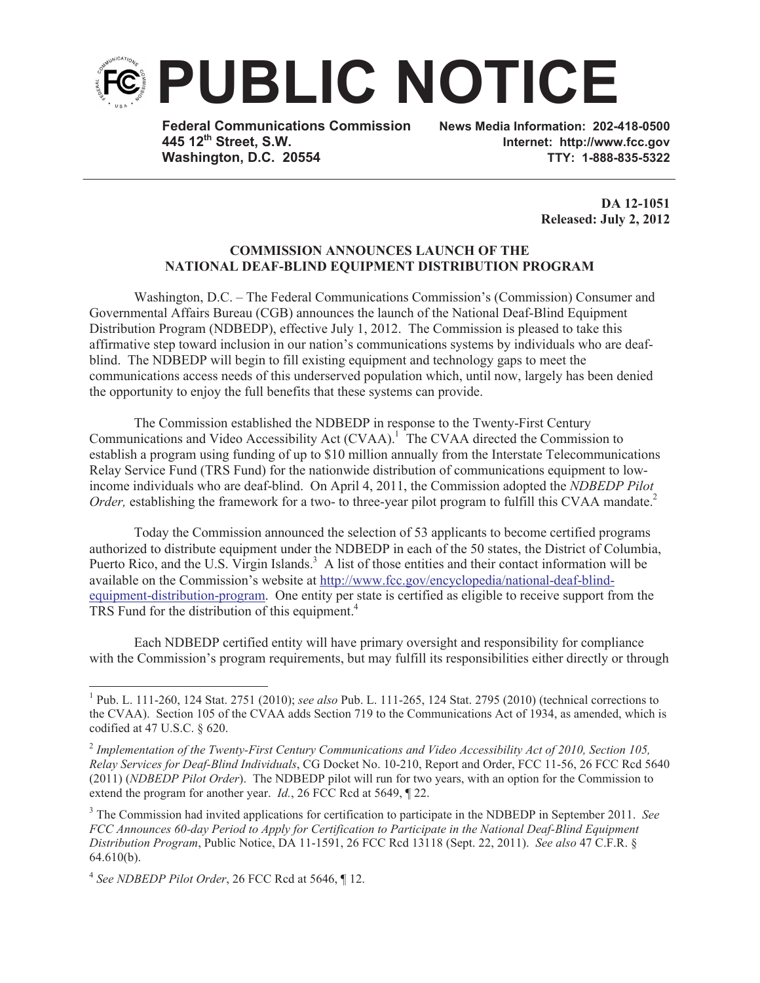

**Federal Communications Commission News Media Information: 202-418-0500 Washington, D.C. 20554 TTY: 1-888-835-5322**

**445 12th Street, S.W. Internet: http://www.fcc.gov**

**DA 12-1051 Released: July 2, 2012** 

## **COMMISSION ANNOUNCES LAUNCH OF THE NATIONAL DEAF-BLIND EQUIPMENT DISTRIBUTION PROGRAM**

Washington, D.C. – The Federal Communications Commission's (Commission) Consumer and Governmental Affairs Bureau (CGB) announces the launch of the National Deaf-Blind Equipment Distribution Program (NDBEDP), effective July 1, 2012. The Commission is pleased to take this affirmative step toward inclusion in our nation's communications systems by individuals who are deafblind. The NDBEDP will begin to fill existing equipment and technology gaps to meet the communications access needs of this underserved population which, until now, largely has been denied the opportunity to enjoy the full benefits that these systems can provide.

The Commission established the NDBEDP in response to the Twenty-First Century Communications and Video Accessibility Act (CVAA).<sup>1</sup> The CVAA directed the Commission to establish a program using funding of up to \$10 million annually from the Interstate Telecommunications Relay Service Fund (TRS Fund) for the nationwide distribution of communications equipment to lowincome individuals who are deaf-blind. On April 4, 2011, the Commission adopted the *NDBEDP Pilot Order*, establishing the framework for a two- to three-year pilot program to fulfill this CVAA mandate.<sup>2</sup>

Today the Commission announced the selection of 53 applicants to become certified programs authorized to distribute equipment under the NDBEDP in each of the 50 states, the District of Columbia, Puerto Rico, and the U.S. Virgin Islands.<sup>3</sup> A list of those entities and their contact information will be available on the Commission's website at http://www.fcc.gov/encyclopedia/national-deaf-blindequipment-distribution-program. One entity per state is certified as eligible to receive support from the TRS Fund for the distribution of this equipment.<sup>4</sup>

Each NDBEDP certified entity will have primary oversight and responsibility for compliance with the Commission's program requirements, but may fulfill its responsibilities either directly or through

<sup>1</sup> Pub. L. 111-260, 124 Stat. 2751 (2010); *see also* Pub. L. 111-265, 124 Stat. 2795 (2010) (technical corrections to the CVAA). Section 105 of the CVAA adds Section 719 to the Communications Act of 1934, as amended, which is codified at 47 U.S.C. § 620.

<sup>2</sup> *Implementation of the Twenty-First Century Communications and Video Accessibility Act of 2010, Section 105, Relay Services for Deaf-Blind Individuals*, CG Docket No. 10-210, Report and Order, FCC 11-56, 26 FCC Rcd 5640 (2011) (*NDBEDP Pilot Order*). The NDBEDP pilot will run for two years, with an option for the Commission to extend the program for another year. *Id.*, 26 FCC Rcd at 5649, ¶ 22.

<sup>3</sup> The Commission had invited applications for certification to participate in the NDBEDP in September 2011. *See FCC Announces 60-day Period to Apply for Certification to Participate in the National Deaf-Blind Equipment Distribution Program*, Public Notice, DA 11-1591, 26 FCC Rcd 13118 (Sept. 22, 2011). *See also* 47 C.F.R. § 64.610(b).

<sup>4</sup> *See NDBEDP Pilot Order*, 26 FCC Rcd at 5646, ¶ 12.